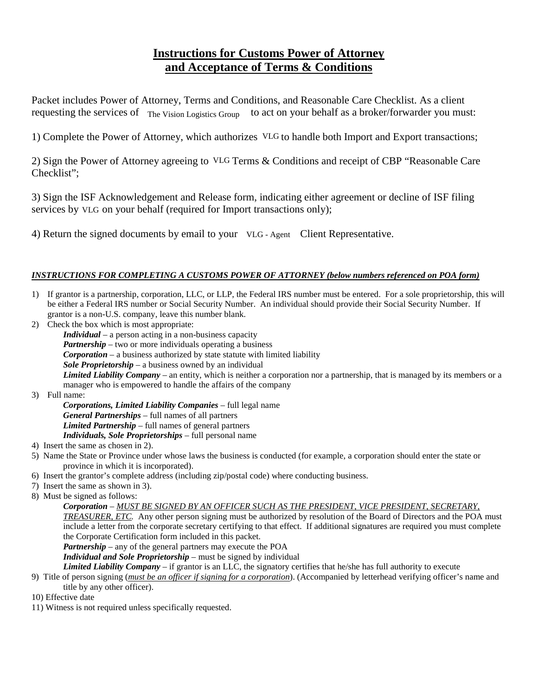## **Instructions for Customs Power of Attorney and Acceptance of Terms & Conditions**

Packet includes Power of Attorney, Terms and Conditions, and Reasonable Care Checklist. As a client requesting the services of The Vision Logistics Group to act on your behalf as a broker/forwarder you must:

1) Complete the Power of Attorney, which authorizes VLG to handle both Import and Export transactions;

2) Sign the Power of Attorney agreeing to VLG Terms & Conditions and receipt of CBP "Reasonable Care" Checklist";

3) Sign the ISF Acknowledgement and Release form, indicating either agreement or decline of ISF filing services by VLG on your behalf (required for Import transactions only); Power of Attorney agreeing to VLG Terms & Con<br>ISF Acknowledgement and Release form, indication<br>VLG on your behalf (required for Import transaction<br>is esigned documents by email to your VLG - Agent

4) Return the signed documents by email to your VLG - Agent Client Representative.

## *INSTRUCTIONS FOR COMPLETING A CUSTOMS POWER OF ATTORNEY (below numbers referenced on POA form)*

- 1) If grantor is a partnership, corporation, LLC, or LLP, the Federal IRS number must be entered. For a sole proprietorship, this will be either a Federal IRS number or Social Security Number. An individual should provide their Social Security Number. If grantor is a non-U.S. company, leave this number blank.
- 2) Check the box which is most appropriate:
	- *Individual* a person acting in a non-business capacity

*Partnership* – two or more individuals operating a business

*Corporation* – a business authorized by state statute with limited liability

*Sole Proprietorship* – a business owned by an individual

*Limited Liability Company* – an entity, which is neither a corporation nor a partnership, that is managed by its members or a manager who is empowered to handle the affairs of the company

3) Full name:

*Corporations, Limited Liability Companies* – full legal name *General Partnerships* – full names of all partners *Limited Partnership* – full names of general partners *Individuals, Sole Proprietorships* – full personal name

- 4) Insert the same as chosen in 2).
- 5) Name the State or Province under whose laws the business is conducted (for example, a corporation should enter the state or province in which it is incorporated).
- 6) Insert the grantor's complete address (including zip/postal code) where conducting business.
- 7) Insert the same as shown in 3).
- 8) Must be signed as follows:

#### *Corporation – MUST BE SIGNED BY AN OFFICER SUCH AS THE PRESIDENT, VICE PRESIDENT, SECRETARY,*

*TREASURER, ETC.* Any other person signing must be authorized by resolution of the Board of Directors and the POA must include a letter from the corporate secretary certifying to that effect. If additional signatures are required you must complete the Corporate Certification form included in this packet.

*Partnership* – any of the general partners may execute the POA

*Individual and Sole Proprietorship* – must be signed by individual

*Limited Liability Company* – if grantor is an LLC, the signatory certifies that he/she has full authority to execute

- 9) Title of person signing (*must be an officer if signing for a corporation*). (Accompanied by letterhead verifying officer's name and title by any other officer).
- 10) Effective date
- 11) Witness is not required unless specifically requested.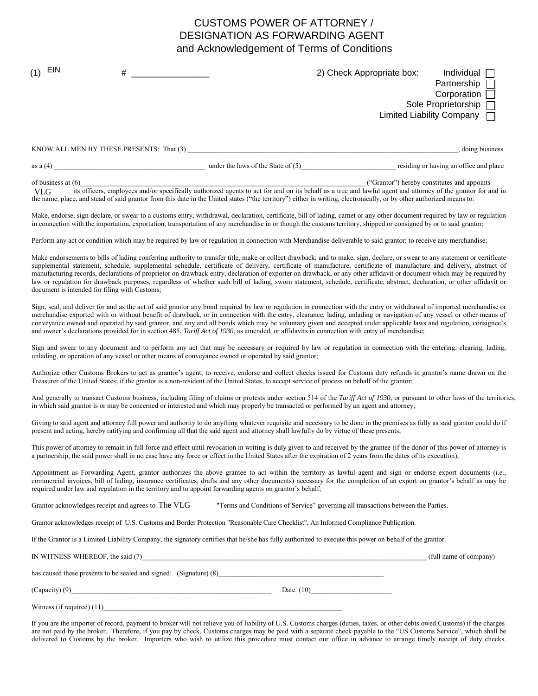## CUSTOMS POWER OF ATTORNEY / DESIGNATION AS FORWARDING AGENT and Acknowledgement of Terms of Conditions

(1) # \_\_\_\_\_\_\_\_\_\_\_\_\_\_\_\_ 2) Check Appropriate box: Individual

| (1) EIN | 2) Check Appropriate box: | Individual [                     |
|---------|---------------------------|----------------------------------|
|         |                           | Partnership $\Box$               |
|         |                           | Corporation [                    |
|         |                           | Sole Proprietorship $\Box$       |
|         |                           | Limited Liability Company $\Box$ |

| EIN<br>(1) | #                                        | 2) Check Appropriate box: | Individual [              |
|------------|------------------------------------------|---------------------------|---------------------------|
|            |                                          |                           | Partnership [             |
|            |                                          |                           | Corporation $\Box$        |
|            |                                          |                           | Sole Proprietorship Γ     |
|            |                                          |                           | Limited Liability Company |
|            |                                          |                           |                           |
|            | KNOW ALL MEN BY THESE PRESENTS: That (3) |                           | doing business            |
|            |                                          |                           |                           |

as a (4) \_\_\_\_\_\_\_\_\_\_\_\_\_\_\_\_\_\_\_\_\_\_\_\_\_\_\_\_\_\_\_\_\_\_\_\_\_\_\_\_\_\_\_ under the laws of the State of (5)\_\_\_\_\_\_\_\_\_\_\_\_\_\_\_\_\_\_\_\_\_\_\_\_\_\_\_ residing or having an office and place

of business at (6)  $(^\circ$ Grantor") hereby constitutes and appoints  $^\circ$ its officers, employees and/or specifically authorized agents to act for and on its behalf as a true and lawful agent and attorney of the grantor for and in the name, place, and stead of said grantor from this date in the United states ("the territory") either in writing, electronically, or by other authorized means to: VLG

Make, endorse, sign declare, or swear to a customs entry, withdrawal, declaration, certificate, bill of lading, carnet or any other document required by law or regulation in connection with the importation, exportation, transportation of any merchandise in or though the customs territory, shipped or consigned by or to said grantor;

Perform any act or condition which may be required by law or regulation in connection with Merchandise deliverable to said grantor; to receive any merchandise;

Make endorsements to bills of lading conferring authority to transfer title, make or collect drawback; and to make, sign, declare, or swear to any statement or certificate supplemental statement, schedule, supplemental schedule, certificate of delivery, certificate of manufacture, certificate of manufacture and delivery, abstract of manufacturing records, declarations of proprietor on drawback entry, declaration of exporter on drawback, or any other affidavit or document which may be required by law or regulation for drawback purposes, regardless of whether such bill of lading, sworn statement, schedule, certificate, abstract, declaration, or other affidavit or document is intended for filing with Customs;

Sign, seal, and deliver for and as the act of said grantor any bond required by law or regulation in connection with the entry or withdrawal of imported merchandise or merchandise exported with or without benefit of drawback, or in connection with the entry, clearance, lading, unlading or navigation of any vessel or other means of conveyance owned and operated by said grantor, and any and all bonds which may be voluntary given and accepted under applicable laws and regulation, consignee's and owner's declarations provided for in section 485, *Tariff Act of 1930*, as amended, or affidavits in connection with entry of merchandise;

Sign and swear to any document and to perform any act that may be necessary or required by law or regulation in connection with the entering, clearing, lading, unlading, or operation of any vessel or other means of conveyance owned or operated by said grantor;

Authorize other Customs Brokers to act as grantor's agent; to receive, endorse and collect checks issued for Customs duty refunds in grantor's name drawn on the Treasurer of the United States; if the grantor is a non-resident of the United States, to accept service of process on behalf of the grantor;

And generally to transact Customs business, including filing of claims or protests under section 514 of the *Tariff Act of 1930*, or pursuant to other laws of the territories, in which said grantor is or may be concerned or interested and which may properly be transacted or performed by an agent and attorney;

Giving to said agent and attorney full power and authority to do anything whatever requisite and necessary to be done in the premises as fully as said grantor could do if present and acting, hereby ratifying and confirming all that the said agent and attorney shall lawfully do by virtue of these presents;

This power of attorney to remain in full force and effect until revocation in writing is duly given to and received by the grantee (if the donor of this power of attorney is a partnership, the said power shall in no case have any force or effect in the United States after the expiration of 2 years from the dates of its execution);

Appointment as Forwarding Agent, grantor authorizes the above grantee to act within the territory as lawful agent and sign or endorse export documents (*i.e.*, commercial invoices, bill of lading, insurance certificates, drafts and any other documents) necessary for the completion of an export on grantor's behalf as may be required under law and regulation in the territory and to appoint forwarding agents on grantor's behalf;

Grantor acknowledges receipt and agrees to The VLG

"Terms and Conditions of Service" governing all transactions between the Parties.

Grantor acknowledges receipt of U.S. Customs and Border Protection "Reasonable Care Checklist", An Informed Compliance Publication.

If the Grantor is a Limited Liability Company, the signatory certifies that he/she has fully authorized to execute this power on behalf of the grantor.

IN WITNESS WHEREOF, the said (7)\_\_\_\_\_\_\_\_\_\_\_\_\_\_\_\_\_\_\_\_\_\_\_\_\_\_\_\_\_\_\_\_\_\_\_\_\_\_\_\_\_\_\_\_\_\_\_\_\_\_\_\_\_\_\_\_\_\_\_\_\_\_\_\_\_\_\_\_\_\_\_\_\_\_\_\_\_\_\_\_\_ (full name of company) has caused these presents to be sealed and signed: (Signature) (8)  $(Capacity)$  (9) Date: (10) Witness (if required)  $(11)$ 

If you are the importer of record, payment to broker will not relieve you of liability of U.S. Customs charges (duties, taxes, or other debts owed Customs) if the charges are not paid by the broker. Therefore, if you pay by check, Customs charges may be paid with a separate check payable to the "US Customs Service", which shall be delivered to Customs by the broker. Importers who wish to utilize this procedure must contact our office in advance to arrange timely receipt of duty checks.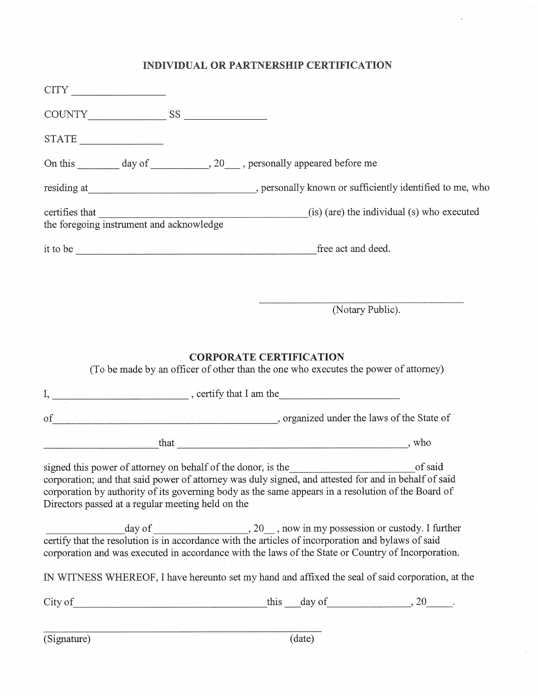# INDIVIDUAL OR PARTNERSHIP CERTIFICATION

| $\text{CITY}\underset{\rule{3.2cm}{0pt}\text{array}{0.5cm}}{\underbrace{\hspace{2.2cm}}\text{CITY}}$                                                                                                                                                                                                                                                                    |                                                                                     |  |        |                                            |  |
|-------------------------------------------------------------------------------------------------------------------------------------------------------------------------------------------------------------------------------------------------------------------------------------------------------------------------------------------------------------------------|-------------------------------------------------------------------------------------|--|--------|--------------------------------------------|--|
| $COUNTY$ $SS$ $\qquad \qquad$ 5S                                                                                                                                                                                                                                                                                                                                        |                                                                                     |  |        |                                            |  |
| $\begin{picture}(150,10) \put(0,0){\dashbox{0.5}(10,0){ }} \put(15,0){\dashbox{0.5}(10,0){ }} \put(15,0){\dashbox{0.5}(10,0){ }} \put(15,0){\dashbox{0.5}(10,0){ }} \put(15,0){\dashbox{0.5}(10,0){ }} \put(15,0){\dashbox{0.5}(10,0){ }} \put(15,0){\dashbox{0.5}(10,0){ }} \put(15,0){\dashbox{0.5}(10,0){ }} \put(15,0){\dashbox{0.5}(10,0){ }} \put(15,0){\dashbox$ |                                                                                     |  |        |                                            |  |
| On this _______ day of __________, 20____, personally appeared before me                                                                                                                                                                                                                                                                                                |                                                                                     |  |        |                                            |  |
|                                                                                                                                                                                                                                                                                                                                                                         |                                                                                     |  |        |                                            |  |
| certifies that<br>the foregoing instrument and acknowledge                                                                                                                                                                                                                                                                                                              |                                                                                     |  |        | (is) (are) the individual (s) who executed |  |
|                                                                                                                                                                                                                                                                                                                                                                         |                                                                                     |  |        |                                            |  |
|                                                                                                                                                                                                                                                                                                                                                                         |                                                                                     |  |        |                                            |  |
|                                                                                                                                                                                                                                                                                                                                                                         |                                                                                     |  |        | (Notary Public).                           |  |
|                                                                                                                                                                                                                                                                                                                                                                         |                                                                                     |  |        |                                            |  |
|                                                                                                                                                                                                                                                                                                                                                                         | (To be made by an officer of other than the one who executes the power of attorney) |  |        |                                            |  |
|                                                                                                                                                                                                                                                                                                                                                                         |                                                                                     |  |        |                                            |  |
| $\qquad \qquad \text{that} \qquad \qquad \text{which is the same as a function of the following matrices, and the following equations are given by:\n\text{Cov}(x, y) = \frac{1}{2} \int_{-\infty}^{\infty} f(x, y) \, dx$                                                                                                                                              |                                                                                     |  |        |                                            |  |
| corporation by authority of its governing body as the same appears in a resolution of the Board of<br>Directors passed at a regular meeting held on the                                                                                                                                                                                                                 |                                                                                     |  |        |                                            |  |
|                                                                                                                                                                                                                                                                                                                                                                         |                                                                                     |  |        |                                            |  |
| corporation and was executed in accordance with the laws of the State or Country of Incorporation.                                                                                                                                                                                                                                                                      |                                                                                     |  |        |                                            |  |
| IN WITNESS WHEREOF, I have hereunto set my hand and affixed the seal of said corporation, at the                                                                                                                                                                                                                                                                        |                                                                                     |  |        |                                            |  |
|                                                                                                                                                                                                                                                                                                                                                                         |                                                                                     |  |        |                                            |  |
| (Signature)                                                                                                                                                                                                                                                                                                                                                             |                                                                                     |  | (date) |                                            |  |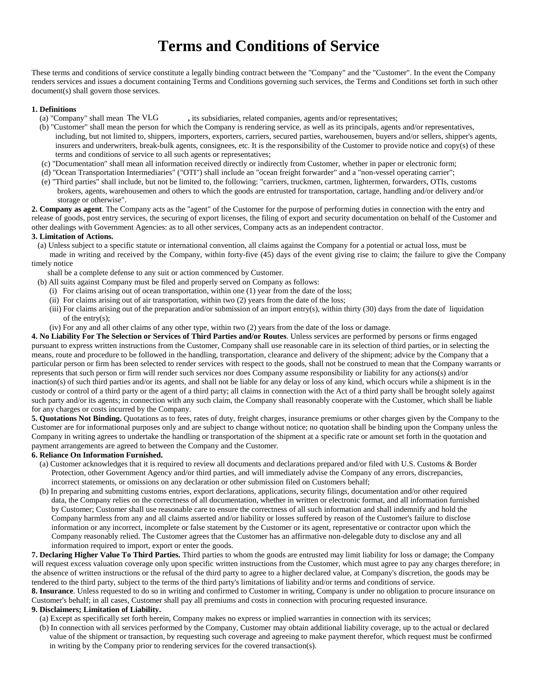# **Terms and Conditions of Service**

These terms and conditions of service constitute a legally binding contract between the "Company" and the "Customer". In the event the Company renders services and issues a document containing Terms and Conditions governing such services, the Terms and Conditions set forth in such other document(s) shall govern those services.

#### **1. Definitions**

- half subsidiaries, related companies, agents and/or representatives; (a) "Company" shall mean The VLG
- (b) "Customer" shall mean the person for which the Company is rendering service, as well as its principals, agents and/or representatives, including, but not limited to, shippers, importers, exporters, carriers, secured parties, warehousemen, buyers and/or sellers, shipper's agents, insurers and underwriters, break-bulk agents, consignees, etc. It is the responsibility of the Customer to provide notice and copy(s) of these terms and conditions of service to all such agents or representatives;
- (c) "Documentation" shall mean all information received directly or indirectly from Customer, whether in paper or electronic form;
- (d) "Ocean Transportation Intermediaries" ("OTI") shall include an "ocean freight forwarder" and a "non-vessel operating carrier";
- (e) "Third parties" shall include, but not be limited to, the following: "carriers, truckmen, cartmen, lightermen, forwarders, OTIs, customs brokers, agents, warehousemen and others to which the goods are entrusted for transportation, cartage, handling and/or delivery and/or storage or otherwise".

**2. Company as agent**. The Company acts as the "agent" of the Customer for the purpose of performing duties in connection with the entry and release of goods, post entry services, the securing of export licenses, the filing of export and security documentation on behalf of the Customer and other dealings with Government Agencies: as to all other services, Company acts as an independent contractor.

#### **3. Limitation of Actions.**

 (a) Unless subject to a specific statute or international convention, all claims against the Company for a potential or actual loss, must be made in writing and received by the Company, within forty-five (45) days of the event giving rise to claim; the failure to give the Company timely notice

shall be a complete defense to any suit or action commenced by Customer.

- (b) All suits against Company must be filed and properly served on Company as follows:
	- (i) For claims arising out of ocean transportation, within one (1) year from the date of the loss;
	- (ii) For claims arising out of air transportation, within two (2) years from the date of the loss;
	- (iii) For claims arising out of the preparation and/or submission of an import entry(s), within thirty (30) days from the date of liquidation of the entry(s);
	- (iv) For any and all other claims of any other type, within two (2) years from the date of the loss or damage.

**4. No Liability For The Selection or Services of Third Parties and/or Routes**. Unless services are performed by persons or firms engaged pursuant to express written instructions from the Customer, Company shall use reasonable care in its selection of third parties, or in selecting the means, route and procedure to be followed in the handling, transportation, clearance and delivery of the shipment; advice by the Company that a particular person or firm has been selected to render services with respect to the goods, shall not be construed to mean that the Company warrants or represents that such person or firm will render such services nor does Company assume responsibility or liability for any actions(s) and/or inaction(s) of such third parties and/or its agents, and shall not be liable for any delay or loss of any kind, which occurs while a shipment is in the custody or control of a third party or the agent of a third party; all claims in connection with the Act of a third party shall be brought solely against such party and/or its agents; in connection with any such claim, the Company shall reasonably cooperate with the Customer, which shall be liable for any charges or costs incurred by the Company.

**5. Quotations Not Binding.** Quotations as to fees, rates of duty, freight charges, insurance premiums or other charges given by the Company to the Customer are for informational purposes only and are subject to change without notice; no quotation shall be binding upon the Company unless the Company in writing agrees to undertake the handling or transportation of the shipment at a specific rate or amount set forth in the quotation and payment arrangements are agreed to between the Company and the Customer.

#### **6. Reliance On Information Furnished.**

- (a) Customer acknowledges that it is required to review all documents and declarations prepared and/or filed with U.S. Customs & Border Protection, other Government Agency and/or third parties, and will immediately advise the Company of any errors, discrepancies, incorrect statements, or omissions on any declaration or other submission filed on Customers behalf;
- (b) In preparing and submitting customs entries, export declarations, applications, security filings, documentation and/or other required data, the Company relies on the correctness of all documentation, whether in written or electronic format, and all information furnished by Customer; Customer shall use reasonable care to ensure the correctness of all such information and shall indemnify and hold the Company harmless from any and all claims asserted and/or liability or losses suffered by reason of the Customer's failure to disclose information or any incorrect, incomplete or false statement by the Customer or its agent, representative or contractor upon which the Company reasonably relied. The Customer agrees that the Customer has an affirmative non-delegable duty to disclose any and all information required to import, export or enter the goods.

**7. Declaring Higher Value To Third Parties.** Third parties to whom the goods are entrusted may limit liability for loss or damage; the Company will request excess valuation coverage only upon specific written instructions from the Customer, which must agree to pay any charges therefore; in the absence of written instructions or the refusal of the third party to agree to a higher declared value, at Company's discretion, the goods may be tendered to the third party, subject to the terms of the third party's limitations of liability and/or terms and conditions of service.

**8. Insurance**. Unless requested to do so in writing and confirmed to Customer in writing, Company is under no obligation to procure insurance on Customer's behalf; in all cases, Customer shall pay all premiums and costs in connection with procuring requested insurance.

#### **9. Disclaimers; Limitation of Liability.**

- (a) Except as specifically set forth herein, Company makes no express or implied warranties in connection with its services;
- (b) In connection with all services performed by the Company, Customer may obtain additional liability coverage, up to the actual or declared value of the shipment or transaction, by requesting such coverage and agreeing to make payment therefor, which request must be confirmed in writing by the Company prior to rendering services for the covered transaction(s).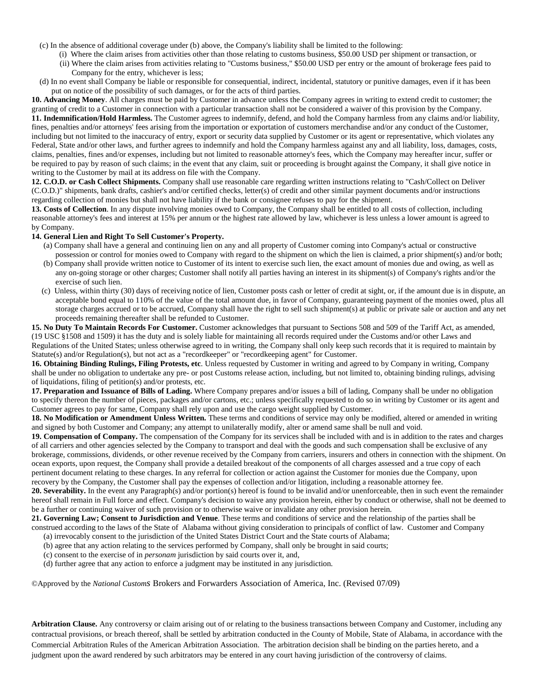- (c) In the absence of additional coverage under (b) above, the Company's liability shall be limited to the following:
	- (i) Where the claim arises from activities other than those relating to customs business, \$50.00 USD per shipment or transaction, or (ii) Where the claim arises from activities relating to "Customs business," \$50.00 USD per entry or the amount of brokerage fees paid to Company for the entry, whichever is less;
- (d) In no event shall Company be liable or responsible for consequential, indirect, incidental, statutory or punitive damages, even if it has been put on notice of the possibility of such damages, or for the acts of third parties.

**10. Advancing Money**. All charges must be paid by Customer in advance unless the Company agrees in writing to extend credit to customer; the granting of credit to a Customer in connection with a particular transaction shall not be considered a waiver of this provision by the Company. **11. Indemnification/Hold Harmless.** The Customer agrees to indemnify, defend, and hold the Company harmless from any claims and/or liability, fines, penalties and/or attorneys' fees arising from the importation or exportation of customers merchandise and/or any conduct of the Customer, including but not limited to the inaccuracy of entry, export or security data supplied by Customer or its agent or representative, which violates any Federal, State and/or other laws, and further agrees to indemnify and hold the Company harmless against any and all liability, loss, damages, costs, claims, penalties, fines and/or expenses, including but not limited to reasonable attorney's fees, which the Company may hereafter incur, suffer or be required to pay by reason of such claims; in the event that any claim, suit or proceeding is brought against the Company, it shall give notice in writing to the Customer by mail at its address on file with the Company.

**12. C.O.D. or Cash Collect Shipments.** Company shall use reasonable care regarding written instructions relating to "Cash/Collect on Deliver (C.O.D.)" shipments, bank drafts, cashier's and/or certified checks, letter(s) of credit and other similar payment documents and/or instructions regarding collection of monies but shall not have liability if the bank or consignee refuses to pay for the shipment.

**13. Costs of Collection**. In any dispute involving monies owed to Company, the Company shall be entitled to all costs of collection, including reasonable attorney's fees and interest at 15% per annum or the highest rate allowed by law, whichever is less unless a lower amount is agreed to by Company.

#### **14. General Lien and Right To Sell Customer's Property.**

- (a) Company shall have a general and continuing lien on any and all property of Customer coming into Company's actual or constructive possession or control for monies owed to Company with regard to the shipment on which the lien is claimed, a prior shipment(s) and/or both;
- (b) Company shall provide written notice to Customer of its intent to exercise such lien, the exact amount of monies due and owing, as well as any on-going storage or other charges; Customer shall notify all parties having an interest in its shipment(s) of Company's rights and/or the exercise of such lien.
- (c) Unless, within thirty (30) days of receiving notice of lien, Customer posts cash or letter of credit at sight, or, if the amount due is in dispute, an acceptable bond equal to 110% of the value of the total amount due, in favor of Company, guaranteeing payment of the monies owed, plus all storage charges accrued or to be accrued, Company shall have the right to sell such shipment(s) at public or private sale or auction and any net proceeds remaining thereafter shall be refunded to Customer.

**15. No Duty To Maintain Records For Customer.** Customer acknowledges that pursuant to Sections 508 and 509 of the Tariff Act, as amended, (19 USC §1508 and 1509) it has the duty and is solely liable for maintaining all records required under the Customs and/or other Laws and Regulations of the United States; unless otherwise agreed to in writing, the Company shall only keep such records that it is required to maintain by Statute(s) and/or Regulation(s), but not act as a "recordkeeper" or "recordkeeping agent" for Customer.

**16. Obtaining Binding Rulings, Filing Protests, etc**. Unless requested by Customer in writing and agreed to by Company in writing, Company shall be under no obligation to undertake any pre- or post Customs release action, including, but not limited to, obtaining binding rulings, advising of liquidations, filing of petition(s) and/or protests, etc.

**17. Preparation and Issuance of Bills of Lading.** Where Company prepares and/or issues a bill of lading, Company shall be under no obligation to specify thereon the number of pieces, packages and/or cartons, etc.; unless specifically requested to do so in writing by Customer or its agent and Customer agrees to pay for same, Company shall rely upon and use the cargo weight supplied by Customer.

**18. No Modification or Amendment Unless Written.** These terms and conditions of service may only be modified, altered or amended in writing and signed by both Customer and Company; any attempt to unilaterally modify, alter or amend same shall be null and void.

**19. Compensation of Company.** The compensation of the Company for its services shall be included with and is in addition to the rates and charges of all carriers and other agencies selected by the Company to transport and deal with the goods and such compensation shall be exclusive of any brokerage, commissions, dividends, or other revenue received by the Company from carriers, insurers and others in connection with the shipment. On ocean exports, upon request, the Company shall provide a detailed breakout of the components of all charges assessed and a true copy of each pertinent document relating to these charges. In any referral for collection or action against the Customer for monies due the Company, upon recovery by the Company, the Customer shall pay the expenses of collection and/or litigation, including a reasonable attorney fee.

**20. Severability.** In the event any Paragraph(s) and/or portion(s) hereof is found to be invalid and/or unenforceable, then in such event the remainder hereof shall remain in Full force and effect. Company's decision to waive any provision herein, either by conduct or otherwise, shall not be deemed to be a further or continuing waiver of such provision or to otherwise waive or invalidate any other provision herein.

**21. Governing Law; Consent to Jurisdiction and Venue**. These terms and conditions of service and the relationship of the parties shall be

construed according to the laws of the State of Alabama without giving consideration to principals of conflict of law. Customer and Company (a) irrevocably consent to the jurisdiction of the United States District Court and the State courts of Alabama;

(b) agree that any action relating to the services performed by Company, shall only be brought in said courts;

- (c) consent to the exercise of in *personam* jurisdiction by said courts over it, and,
- (d) further agree that any action to enforce a judgment may be instituted in any jurisdiction.

©Approved by the *National Customs* Brokers and Forwarders Association of America, Inc. (Revised 07/09)

**Arbitration Clause.** Any controversy or claim arising out of or relating to the business transactions between Company and Customer, including any contractual provisions, or breach thereof, shall be settled by arbitration conducted in the County of Mobile, State of Alabama, in accordance with the Commercial Arbitration Rules of the American Arbitration Association. The arbitration decision shall be binding on the parties hereto, and a judgment upon the award rendered by such arbitrators may be entered in any court having jurisdiction of the controversy of claims.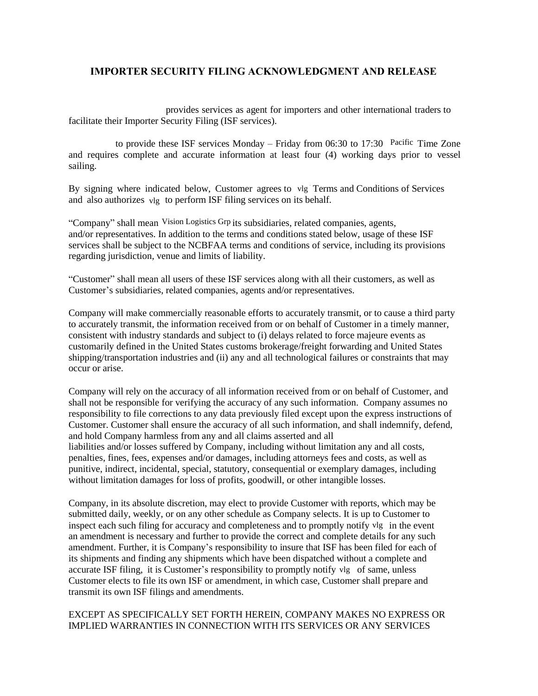## **IMPORTER SECURITY FILING ACKNOWLEDGMENT AND RELEASE**

provides services as agent for importers and other international traders to facilitate their Importer Security Filing (ISF services).

to provide these ISF services Monday – Friday from 06:30 to 17:30 Pacific Time Zone and requires complete and accurate information at least four (4) working days prior to vessel sailing.

By signing where indicated below, Customer agrees to vlg Terms and Conditions of Services By signing where indicated below, Customer agrees to vlg Term and also authorizes vlg to perform ISF filing services on its behalf.

"Company" shall mean Vision Logistics Grp its subsidiaries, related companies, agents, and/or representatives. In addition to the terms and conditions stated below, usage of these ISF services shall be subject to the NCBFAA terms and conditions of service, including its provisions regarding jurisdiction, venue and limits of liability.

"Customer" shall mean all users of these ISF services along with all their customers, as well as Customer's subsidiaries, related companies, agents and/or representatives.

Company will make commercially reasonable efforts to accurately transmit, or to cause a third party to accurately transmit, the information received from or on behalf of Customer in a timely manner, consistent with industry standards and subject to (i) delays related to force majeure events as customarily defined in the United States customs brokerage/freight forwarding and United States shipping/transportation industries and (ii) any and all technological failures or constraints that may occur or arise.

Company will rely on the accuracy of all information received from or on behalf of Customer, and shall not be responsible for verifying the accuracy of any such information. Company assumes no responsibility to file corrections to any data previously filed except upon the express instructions of Customer. Customer shall ensure the accuracy of all such information, and shall indemnify, defend, and hold Company harmless from any and all claims asserted and all liabilities and/or losses suffered by Company, including without limitation any and all costs, penalties, fines, fees, expenses and/or damages, including attorneys fees and costs, as well as punitive, indirect, incidental, special, statutory, consequential or exemplary damages, including without limitation damages for loss of profits, goodwill, or other intangible losses.

Company, in its absolute discretion, may elect to provide Customer with reports, which may be submitted daily, weekly, or on any other schedule as Company selects. It is up to Customer to inspect each such filing for accuracy and completeness and to promptly notify vlg in the event an amendment is necessary and further to provide the correct and complete details for any such amendment. Further, it is Company's responsibility to insure that ISF has been filed for each of its shipments and finding any shipments which have been dispatched without a complete and accurate ISF filing, it is Customer's responsibility to promptly notify vlg of same, unless Customer elects to file its own ISF or amendment, in which case, Customer shall prepare and transmit its own ISF filings and amendments.

### EXCEPT AS SPECIFICALLY SET FORTH HEREIN, COMPANY MAKES NO EXPRESS OR IMPLIED WARRANTIES IN CONNECTION WITH ITS SERVICES OR ANY SERVICES